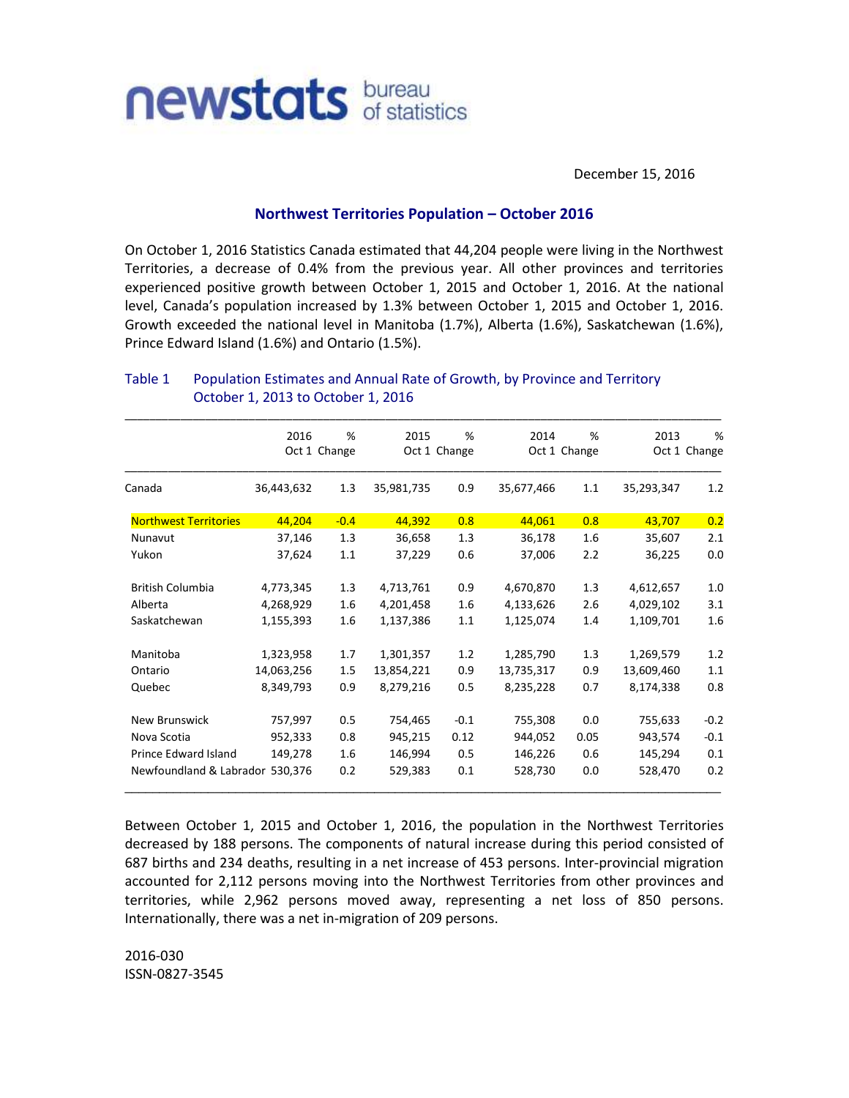

December 15, 2016

## **Northwest Territories Population – October 2016**

On October 1, 2016 Statistics Canada estimated that 44,204 people were living in the Northwest Territories, a decrease of 0.4% from the previous year. All other provinces and territories experienced positive growth between October 1, 2015 and October 1, 2016. At the national level, Canada's population increased by 1.3% between October 1, 2015 and October 1, 2016. Growth exceeded the national level in Manitoba (1.7%), Alberta (1.6%), Saskatchewan (1.6%), Prince Edward Island (1.6%) and Ontario (1.5%).

|                                 | 2016         | $\frac{9}{6}$ | 2015         | %      | 2014         | %    | 2013       | %            |
|---------------------------------|--------------|---------------|--------------|--------|--------------|------|------------|--------------|
|                                 | Oct 1 Change |               | Oct 1 Change |        | Oct 1 Change |      |            | Oct 1 Change |
| Canada                          | 36,443,632   | 1.3           | 35,981,735   | 0.9    | 35,677,466   | 1.1  | 35,293,347 | 1.2          |
| <b>Northwest Territories</b>    | 44,204       | $-0.4$        | 44,392       | 0.8    | 44,061       | 0.8  | 43,707     | 0.2          |
| Nunavut                         | 37,146       | 1.3           | 36,658       | 1.3    | 36,178       | 1.6  | 35,607     | 2.1          |
| Yukon                           | 37,624       | 1.1           | 37,229       | 0.6    | 37,006       | 2.2  | 36,225     | 0.0          |
| <b>British Columbia</b>         | 4,773,345    | 1.3           | 4,713,761    | 0.9    | 4,670,870    | 1.3  | 4,612,657  | 1.0          |
| Alberta                         | 4,268,929    | 1.6           | 4,201,458    | 1.6    | 4,133,626    | 2.6  | 4,029,102  | 3.1          |
| Saskatchewan                    | 1,155,393    | 1.6           | 1,137,386    | 1.1    | 1,125,074    | 1.4  | 1,109,701  | 1.6          |
| Manitoba                        | 1,323,958    | 1.7           | 1,301,357    | 1.2    | 1,285,790    | 1.3  | 1,269,579  | 1.2          |
| Ontario                         | 14,063,256   | 1.5           | 13,854,221   | 0.9    | 13,735,317   | 0.9  | 13,609,460 | 1.1          |
| Quebec                          | 8,349,793    | 0.9           | 8,279,216    | 0.5    | 8,235,228    | 0.7  | 8,174,338  | 0.8          |
| <b>New Brunswick</b>            | 757,997      | 0.5           | 754,465      | $-0.1$ | 755,308      | 0.0  | 755,633    | $-0.2$       |
| Nova Scotia                     | 952,333      | 0.8           | 945,215      | 0.12   | 944,052      | 0.05 | 943,574    | $-0.1$       |
| Prince Edward Island            | 149,278      | 1.6           | 146,994      | 0.5    | 146,226      | 0.6  | 145,294    | 0.1          |
| Newfoundland & Labrador 530,376 |              | 0.2           | 529,383      | 0.1    | 528,730      | 0.0  | 528,470    | 0.2          |

## Table 1 Population Estimates and Annual Rate of Growth, by Province and Territory October 1, 2013 to October 1, 2016

Between October 1, 2015 and October 1, 2016, the population in the Northwest Territories decreased by 188 persons. The components of natural increase during this period consisted of 687 births and 234 deaths, resulting in a net increase of 453 persons. Inter-provincial migration accounted for 2,112 persons moving into the Northwest Territories from other provinces and territories, while 2,962 persons moved away, representing a net loss of 850 persons. Internationally, there was a net in-migration of 209 persons.

2016-030 ISSN-0827-3545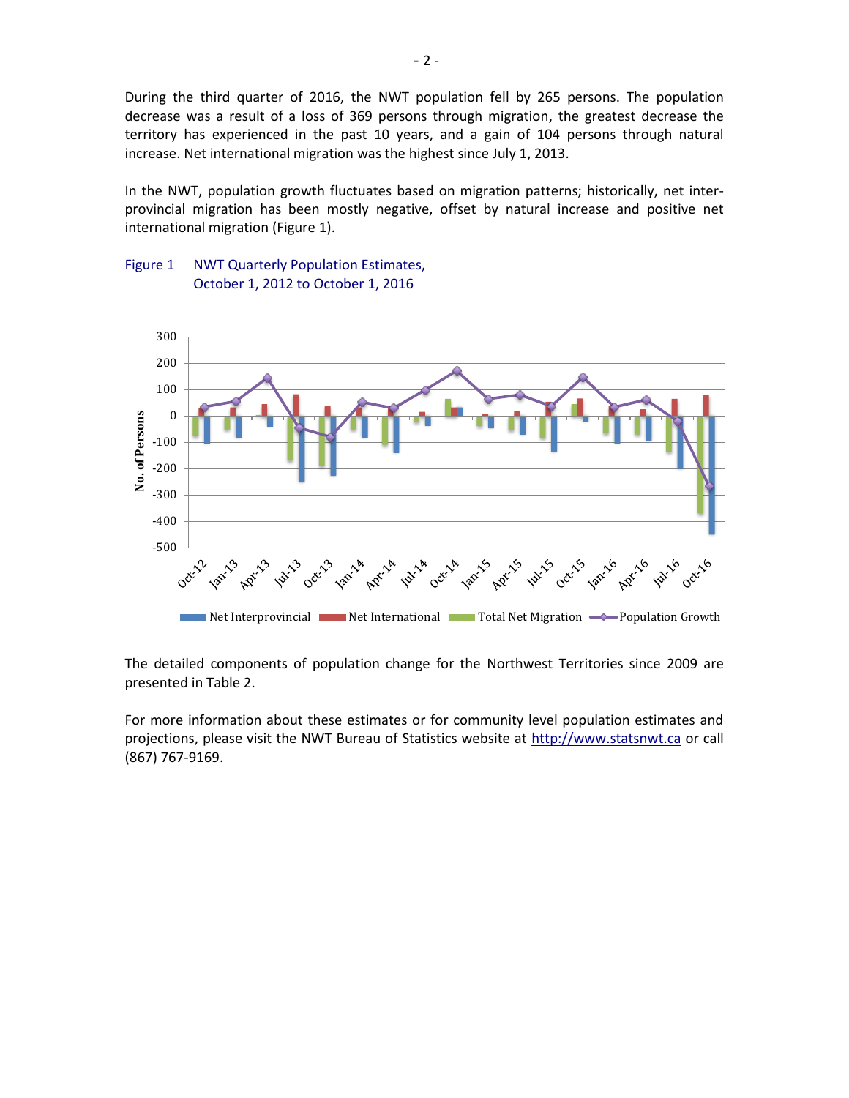During the third quarter of 2016, the NWT population fell by 265 persons. The population decrease was a result of a loss of 369 persons through migration, the greatest decrease the territory has experienced in the past 10 years, and a gain of 104 persons through natural increase. Net international migration was the highest since July 1, 2013.

In the NWT, population growth fluctuates based on migration patterns; historically, net interprovincial migration has been mostly negative, offset by natural increase and positive net international migration (Figure 1).

## Figure 1 NWT Quarterly Population Estimates, October 1, 2012 to October 1, 2016



The detailed components of population change for the Northwest Territories since 2009 are presented in Table 2.

For more information about these estimates or for community level population estimates and projections, please visit the NWT Bureau of Statistics website at http://www.statsnwt.ca or call (867) 767-9169.